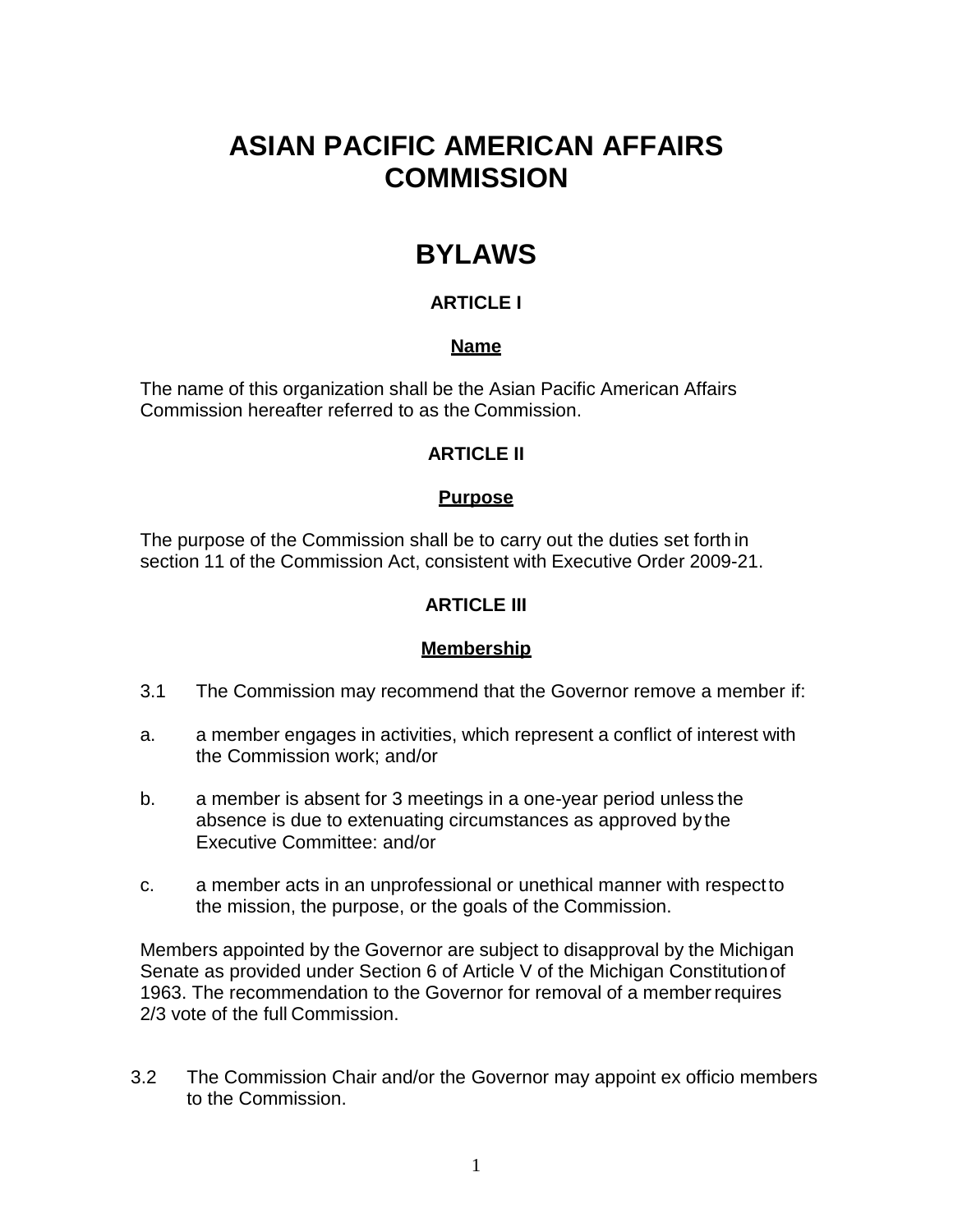# **ASIAN PACIFIC AMERICAN AFFAIRS COMMISSION**

# **BYLAWS**

# **ARTICLE I**

## **Name**

The name of this organization shall be the Asian Pacific American Affairs Commission hereafter referred to as the Commission.

## **ARTICLE II**

## **Purpose**

The purpose of the Commission shall be to carry out the duties set forth in section 11 of the Commission Act, consistent with Executive Order 2009-21.

## **ARTICLE III**

## **Membership**

- 3.1 The Commission may recommend that the Governor remove a member if:
- a. a member engages in activities, which represent a conflict of interest with the Commission work; and/or
- b. a member is absent for 3 meetings in a one-year period unless the absence is due to extenuating circumstances as approved by the Executive Committee: and/or
- c. a member acts in an unprofessional or unethical manner with respectto the mission, the purpose, or the goals of the Commission.

Members appointed by the Governor are subject to disapproval by the Michigan Senate as provided under Section 6 of Article V of the Michigan Constitutionof 1963. The recommendation to the Governor for removal of a memberrequires 2/3 vote of the full Commission.

3.2 The Commission Chair and/or the Governor may appoint ex officio members to the Commission.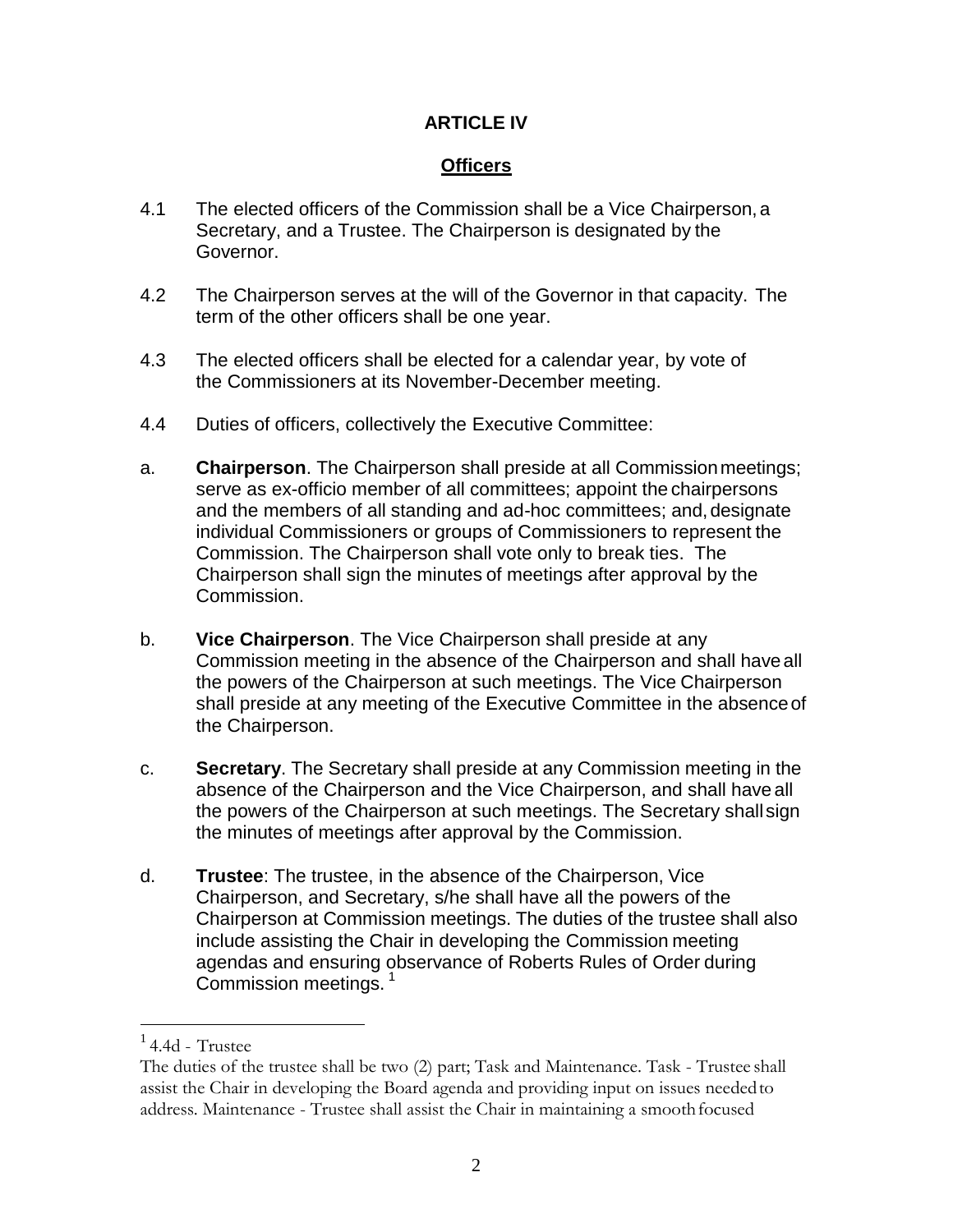## **ARTICLE IV**

## **Officers**

- 4.1 The elected officers of the Commission shall be a Vice Chairperson, a Secretary, and a Trustee. The Chairperson is designated by the Governor.
- 4.2 The Chairperson serves at the will of the Governor in that capacity. The term of the other officers shall be one year.
- 4.3 The elected officers shall be elected for a calendar year, by vote of the Commissioners at its November-December meeting.
- 4.4 Duties of officers, collectively the Executive Committee:
- a. **Chairperson**. The Chairperson shall preside at all Commissionmeetings; serve as ex-officio member of all committees; appoint the chairpersons and the members of all standing and ad-hoc committees; and,designate individual Commissioners or groups of Commissioners to represent the Commission. The Chairperson shall vote only to break ties. The Chairperson shall sign the minutes of meetings after approval by the Commission.
- b. **Vice Chairperson**. The Vice Chairperson shall preside at any Commission meeting in the absence of the Chairperson and shall haveall the powers of the Chairperson at such meetings. The Vice Chairperson shall preside at any meeting of the Executive Committee in the absenceof the Chairperson.
- c. **Secretary**. The Secretary shall preside at any Commission meeting in the absence of the Chairperson and the Vice Chairperson, and shall have all the powers of the Chairperson at such meetings. The Secretary shall sign the minutes of meetings after approval by the Commission.
- d. **Trustee**: The trustee, in the absence of the Chairperson, Vice Chairperson, and Secretary, s/he shall have all the powers of the Chairperson at Commission meetings. The duties of the trustee shall also include assisting the Chair in developing the Commission meeting agendas and ensuring observance of Roberts Rules of Order during Commission meetings.<sup>1</sup>

 $14.4d$  - Trustee

The duties of the trustee shall be two (2) part; Task and Maintenance. Task - Trustee shall assist the Chair in developing the Board agenda and providing input on issues neededto address. Maintenance - Trustee shall assist the Chair in maintaining a smoothfocused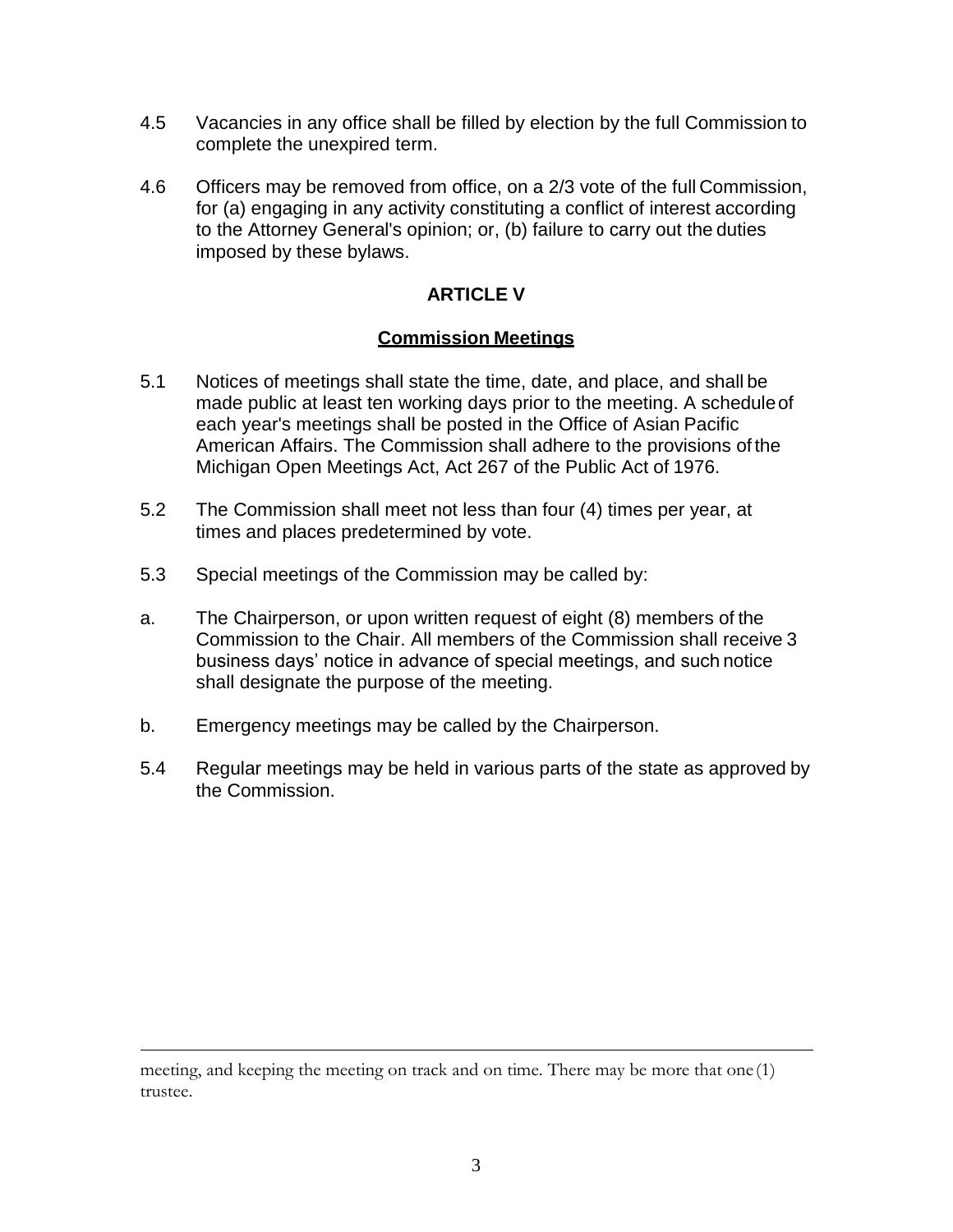- 4.5 Vacancies in any office shall be filled by election by the full Commission to complete the unexpired term.
- 4.6 Officers may be removed from office, on a 2/3 vote of the full Commission, for (a) engaging in any activity constituting a conflict of interest according to the Attorney General's opinion; or, (b) failure to carry out the duties imposed by these bylaws.

## **ARTICLE V**

#### **Commission Meetings**

- 5.1 Notices of meetings shall state the time, date, and place, and shall be made public at least ten working days prior to the meeting. A scheduleof each year's meetings shall be posted in the Office of Asian Pacific American Affairs. The Commission shall adhere to the provisions of the Michigan Open Meetings Act, Act 267 of the Public Act of 1976.
- 5.2 The Commission shall meet not less than four (4) times per year, at times and places predetermined by vote.
- 5.3 Special meetings of the Commission may be called by:
- a. The Chairperson, or upon written request of eight (8) members of the Commission to the Chair. All members of the Commission shall receive 3 business days' notice in advance of special meetings, and such notice shall designate the purpose of the meeting.
- b. Emergency meetings may be called by the Chairperson.
- 5.4 Regular meetings may be held in various parts of the state as approved by the Commission.

meeting, and keeping the meeting on track and on time. There may be more that one (1) trustee.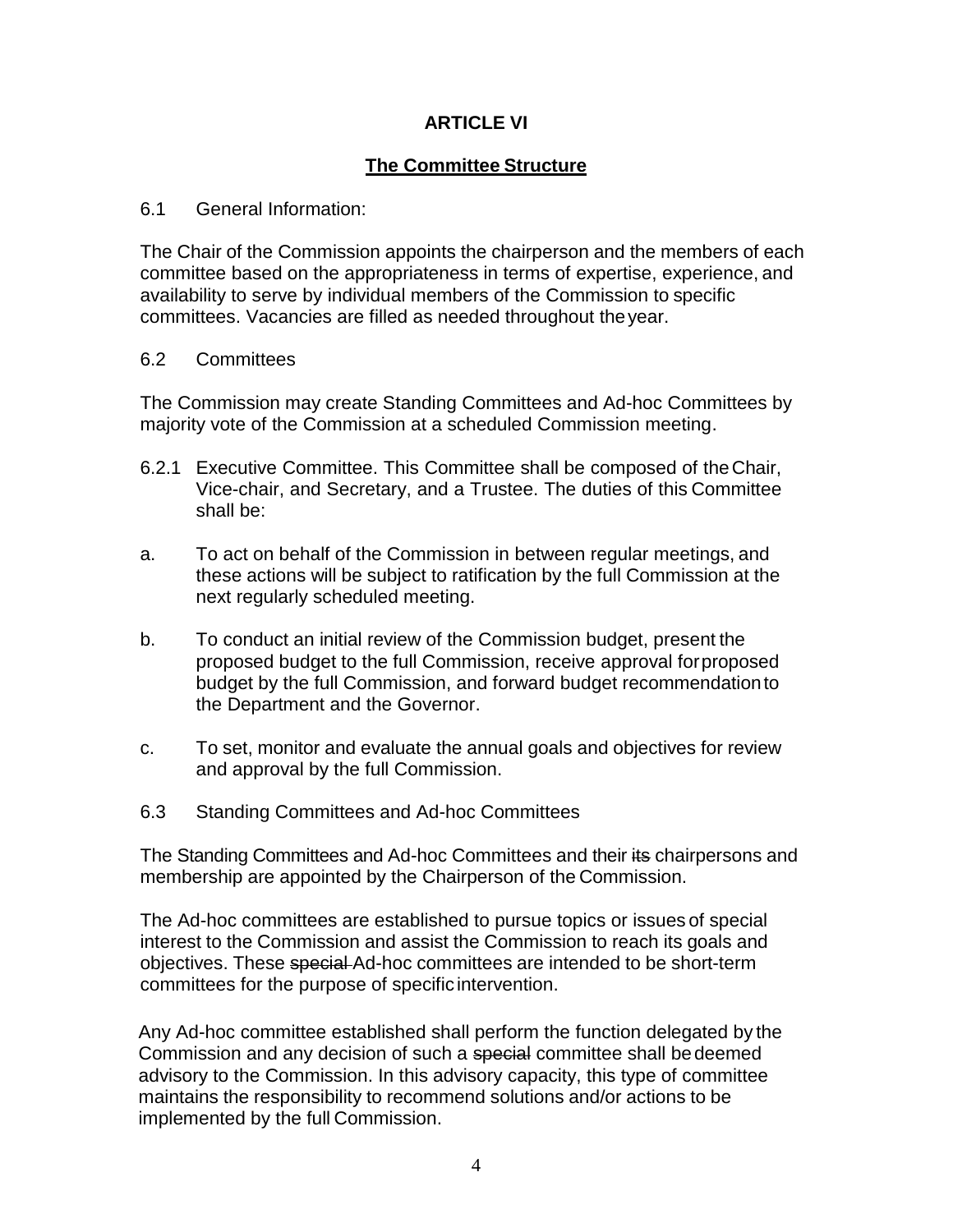## **ARTICLE VI**

## **The Committee Structure**

#### 6.1 General Information:

The Chair of the Commission appoints the chairperson and the members of each committee based on the appropriateness in terms of expertise, experience, and availability to serve by individual members of the Commission to specific committees. Vacancies are filled as needed throughout theyear.

#### 6.2 Committees

The Commission may create Standing Committees and Ad-hoc Committees by majority vote of the Commission at a scheduled Commission meeting.

- 6.2.1 Executive Committee. This Committee shall be composed of theChair, Vice-chair, and Secretary, and a Trustee. The duties of this Committee shall be:
- a. To act on behalf of the Commission in between regular meetings, and these actions will be subject to ratification by the full Commission at the next regularly scheduled meeting.
- b. To conduct an initial review of the Commission budget, present the proposed budget to the full Commission, receive approval forproposed budget by the full Commission, and forward budget recommendationto the Department and the Governor.
- c. To set, monitor and evaluate the annual goals and objectives for review and approval by the full Commission.
- 6.3 Standing Committees and Ad-hoc Committees

The Standing Committees and Ad-hoc Committees and their its chairpersons and membership are appointed by the Chairperson of the Commission.

The Ad-hoc committees are established to pursue topics or issues of special interest to the Commission and assist the Commission to reach its goals and objectives. These special Ad-hoc committees are intended to be short-term committees for the purpose of specific intervention.

Any Ad-hoc committee established shall perform the function delegated by the Commission and any decision of such a special committee shall be deemed advisory to the Commission. In this advisory capacity, this type of committee maintains the responsibility to recommend solutions and/or actions to be implemented by the full Commission.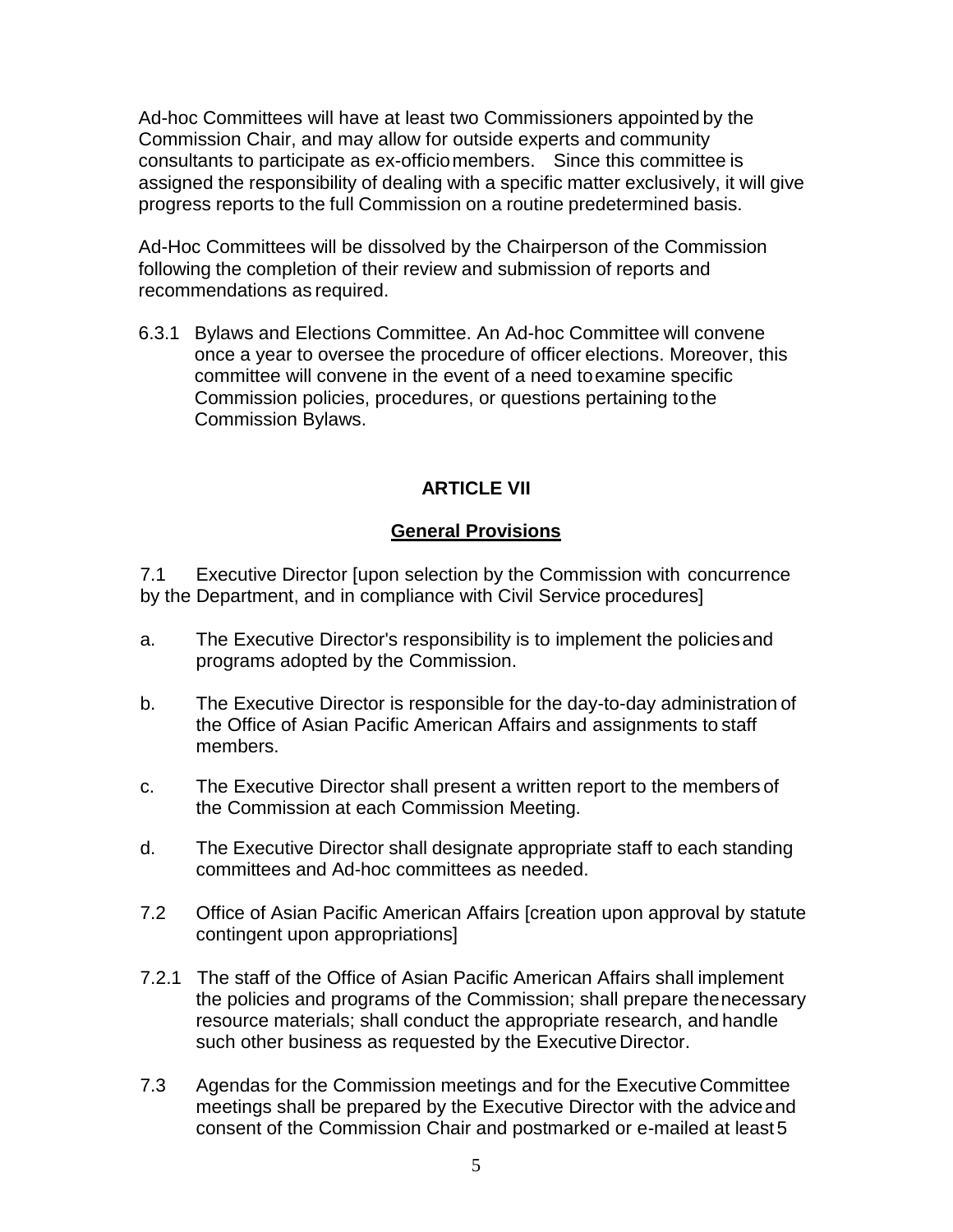Ad-hoc Committees will have at least two Commissioners appointed by the Commission Chair, and may allow for outside experts and community consultants to participate as ex-officiomembers. Since this committee is assigned the responsibility of dealing with a specific matter exclusively, it will give progress reports to the full Commission on a routine predetermined basis.

Ad-Hoc Committees will be dissolved by the Chairperson of the Commission following the completion of their review and submission of reports and recommendations as required.

6.3.1 Bylaws and Elections Committee. An Ad-hoc Committee will convene once a year to oversee the procedure of officer elections. Moreover, this committee will convene in the event of a need toexamine specific Commission policies, procedures, or questions pertaining tothe Commission Bylaws.

## **ARTICLE VII**

## **General Provisions**

7.1 Executive Director [upon selection by the Commission with concurrence by the Department, and in compliance with Civil Service procedures]

- a. The Executive Director's responsibility is to implement the policiesand programs adopted by the Commission.
- b. The Executive Director is responsible for the day-to-day administration of the Office of Asian Pacific American Affairs and assignments to staff members.
- c. The Executive Director shall present a written report to the members of the Commission at each Commission Meeting.
- d. The Executive Director shall designate appropriate staff to each standing committees and Ad-hoc committees as needed.
- 7.2 Office of Asian Pacific American Affairs [creation upon approval by statute contingent upon appropriations]
- 7.2.1 The staff of the Office of Asian Pacific American Affairs shall implement the policies and programs of the Commission; shall prepare thenecessary resource materials; shall conduct the appropriate research, and handle such other business as requested by the Executive Director.
- 7.3 Agendas for the Commission meetings and for the Executive Committee meetings shall be prepared by the Executive Director with the adviceand consent of the Commission Chair and postmarked or e-mailed at least5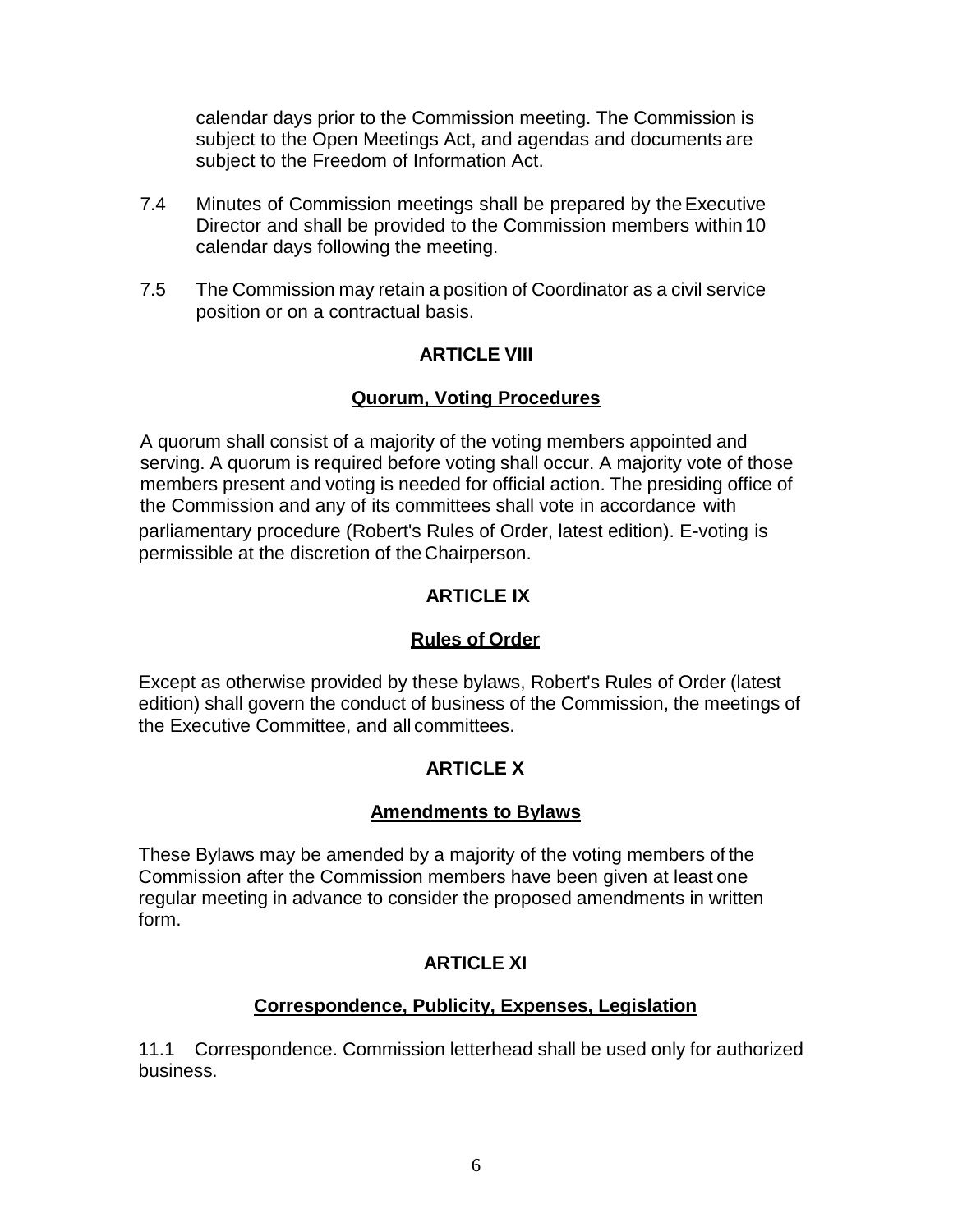calendar days prior to the Commission meeting. The Commission is subject to the Open Meetings Act, and agendas and documents are subject to the Freedom of Information Act.

- 7.4 Minutes of Commission meetings shall be prepared by theExecutive Director and shall be provided to the Commission members within10 calendar days following the meeting.
- 7.5 The Commission may retain a position of Coordinator as a civil service position or on a contractual basis.

## **ARTICLE VIII**

## **Quorum, Voting Procedures**

A quorum shall consist of a majority of the voting members appointed and serving. A quorum is required before voting shall occur. A majority vote of those members present and voting is needed for official action. The presiding office of the Commission and any of its committees shall vote in accordance with parliamentary procedure (Robert's Rules of Order, latest edition). E-voting is permissible at the discretion of the Chairperson.

## **ARTICLE IX**

## **Rules of Order**

Except as otherwise provided by these bylaws, Robert's Rules of Order (latest edition) shall govern the conduct of business of the Commission, the meetings of the Executive Committee, and all committees.

## **ARTICLE X**

## **Amendments to Bylaws**

These Bylaws may be amended by a majority of the voting members of the Commission after the Commission members have been given at least one regular meeting in advance to consider the proposed amendments in written form.

## **ARTICLE XI**

## **Correspondence, Publicity, Expenses, Legislation**

11.1 Correspondence. Commission letterhead shall be used only for authorized business.